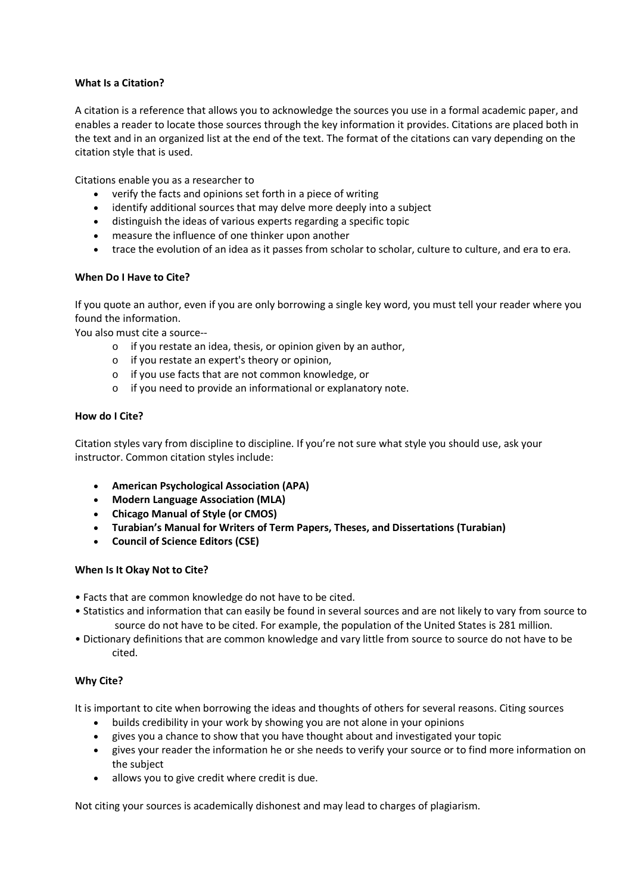# **What Is a Citation?**

A citation is a reference that allows you to acknowledge the sources you use in a formal academic paper, and enables a reader to locate those sources through the key information it provides. Citations are placed both in the text and in an organized list at the end of the text. The format of the citations can vary depending on the citation style that is used.

Citations enable you as a researcher to

- · verify the facts and opinions set forth in a piece of writing
- · identify additional sources that may delve more deeply into a subject
- · distinguish the ideas of various experts regarding a specific topic
- · measure the influence of one thinker upon another
- · trace the evolution of an idea as it passes from scholar to scholar, culture to culture, and era to era.

# **When Do I Have to Cite?**

If you quote an author, even if you are only borrowing a single key word, you must tell your reader where you found the information.

You also must cite a source--

- o if you restate an idea, thesis, or opinion given by an author,
- o if you restate an expert's theory or opinion,
- o if you use facts that are not common knowledge, or
- o if you need to provide an informational or explanatory note.

### **How do I Cite?**

Citation styles vary from discipline to discipline. If you're not sure what style you should use, ask your instructor. Common citation styles include:

- · **American Psychological Association (APA)**
- · **Modern Language Association (MLA)**
- · **Chicago Manual of Style (or CMOS)**
- · **Turabian's Manual for Writers of Term Papers, Theses, and Dissertations (Turabian)**
- · **Council of Science Editors (CSE)**

### **When Is It Okay Not to Cite?**

- Facts that are common knowledge do not have to be cited.
- Statistics and information that can easily be found in several sources and are not likely to vary from source to source do not have to be cited. For example, the population of the United States is 281 million.
- Dictionary definitions that are common knowledge and vary little from source to source do not have to be cited.

### **Why Cite?**

It is important to cite when borrowing the ideas and thoughts of others for several reasons. Citing sources

- · builds credibility in your work by showing you are not alone in your opinions
- · gives you a chance to show that you have thought about and investigated your topic
- · gives your reader the information he or she needs to verify your source or to find more information on the subject
- · allows you to give credit where credit is due.

Not citing your sources is academically dishonest and may lead to charges of plagiarism.